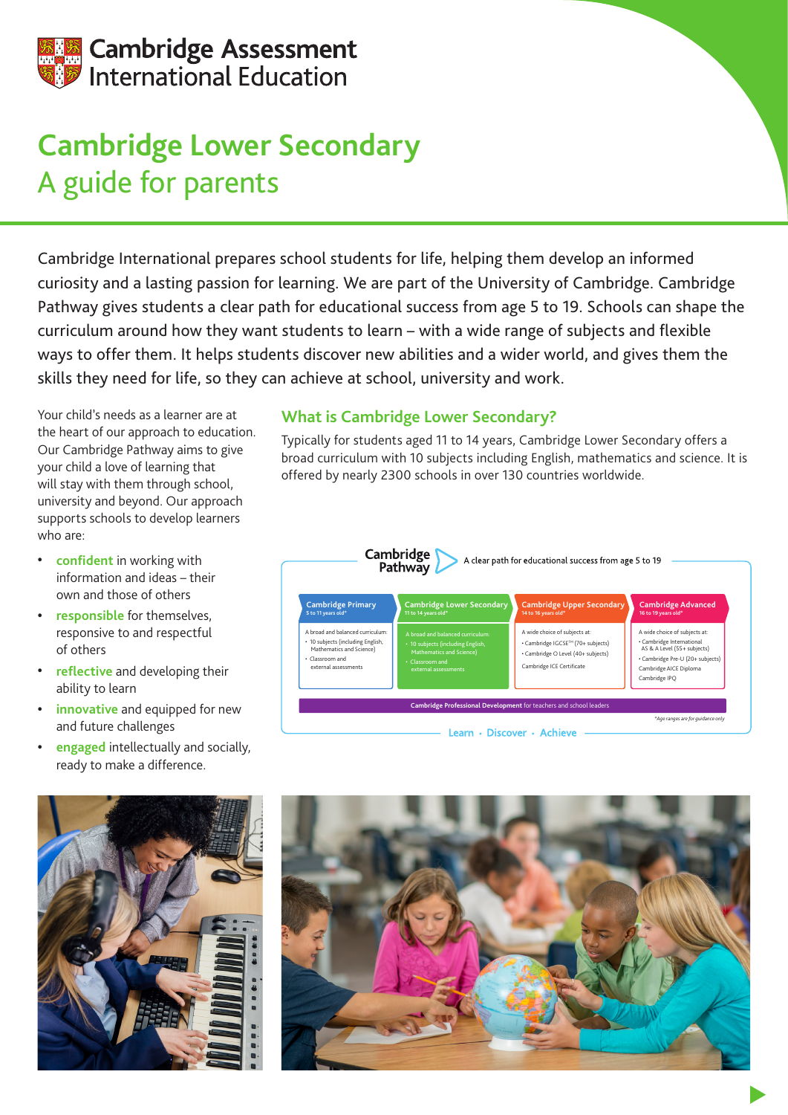

## **Cambridge Lower Secondary** A guide for parents

Cambridge International prepares school students for life, helping them develop an informed curiosity and a lasting passion for learning. We are part of the University of Cambridge. Cambridge Pathway gives students a clear path for educational success from age 5 to 19. Schools can shape the curriculum around how they want students to learn – with a wide range of subjects and flexible ways to offer them. It helps students discover new abilities and a wider world, and gives them the skills they need for life, so they can achieve at school, university and work.

Your child's needs as a learner are at the heart of our approach to education. Our Cambridge Pathway aims to give your child a love of learning that will stay with them through school, university and beyond. Our approach supports schools to develop learners who are:

- **• confident** in working with information and ideas – their own and those of others
- **• responsible** for themselves, responsive to and respectful of others
- **• reflective** and developing their ability to learn
- **• innovative** and equipped for new and future challenges
- **• engaged** intellectually and socially, ready to make a difference.

## **What is Cambridge Lower Secondary?**

Typically for students aged 11 to 14 years, Cambridge Lower Secondary offers a broad curriculum with 10 subjects including English, mathematics and science. It is offered by nearly 2300 schools in over 130 countries worldwide.